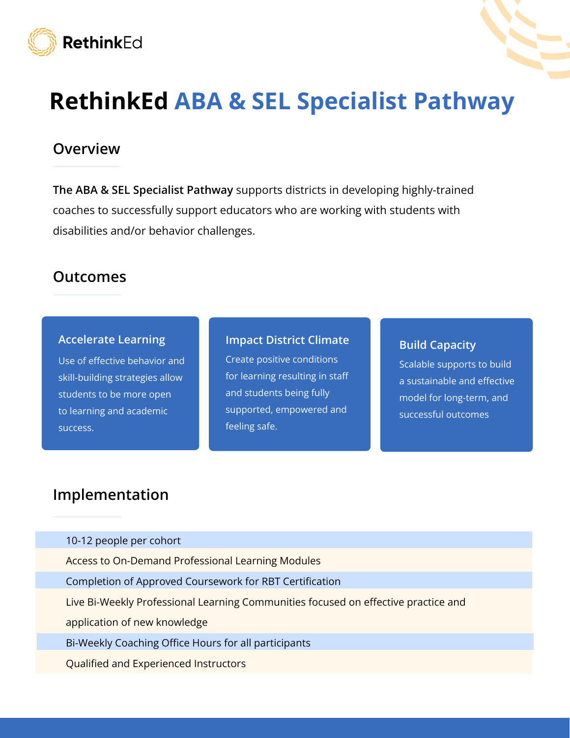

## RethinkEd ABA & SEL Specialist Pathway

### **Overview**

The ABA & SEL Specialist Pathway supports districts in developing highly-trained coaches to successfully support educators who are working with students with disabilities and/or behavior challenges.

### Outcomes

#### Accelerate Learning

Use of effective behavior and skill-building strategies allow students to be more open to learning and academic success.

#### Impact District Climate

Create positive conditions for learning resulting in staff and students being fully supported, empowered and feeling safe.

#### Build Capacity

Scalable supports to build a sustainable and effective model for long-term, and successful outcomes

### Implementation

10-12 people per cohort

Access to On-Demand Professional Learning Modules

Completion of Approved Coursework for RBT Certification

Live Bi-Weekly Professional Learning Communities focused on effective practice and

application of new knowledge

Bi-Weekly Coaching Office Hours for all participants

Qualified and Experienced Instructors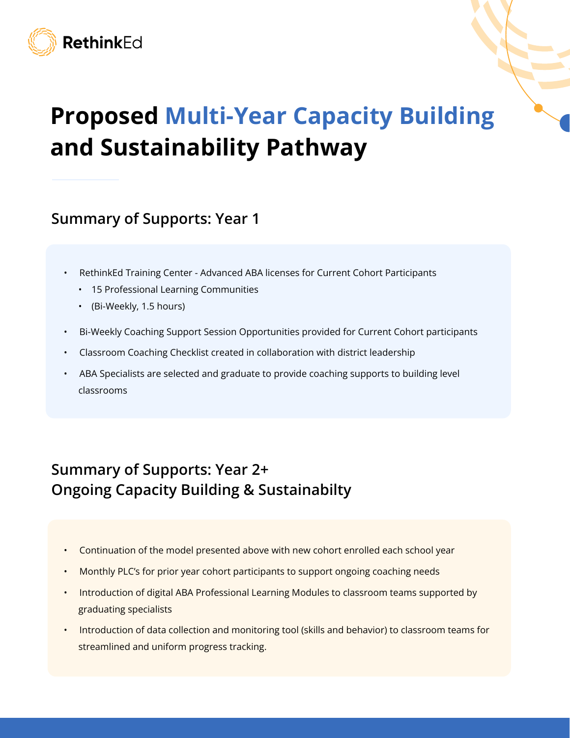

# Proposed Multi-Year Capacity Building and Sustainability Pathway

## Summary of Supports: Year 1

- RethinkEd Training Center Advanced ABA licenses for Current Cohort Participants
	- 15 Professional Learning Communities
	- (Bi-Weekly, 1.5 hours)
- Bi-Weekly Coaching Support Session Opportunities provided for Current Cohort participants
- Classroom Coaching Checklist created in collaboration with district leadership
- ABA Specialists are selected and graduate to provide coaching supports to building level classrooms

## Summary of Supports: Year 2+ Ongoing Capacity Building & Sustainabilty

- Continuation of the model presented above with new cohort enrolled each school year
- Monthly PLC's for prior year cohort participants to support ongoing coaching needs
- Introduction of digital ABA Professional Learning Modules to classroom teams supported by graduating specialists
- Introduction of data collection and monitoring tool (skills and behavior) to classroom teams for streamlined and uniform progress tracking.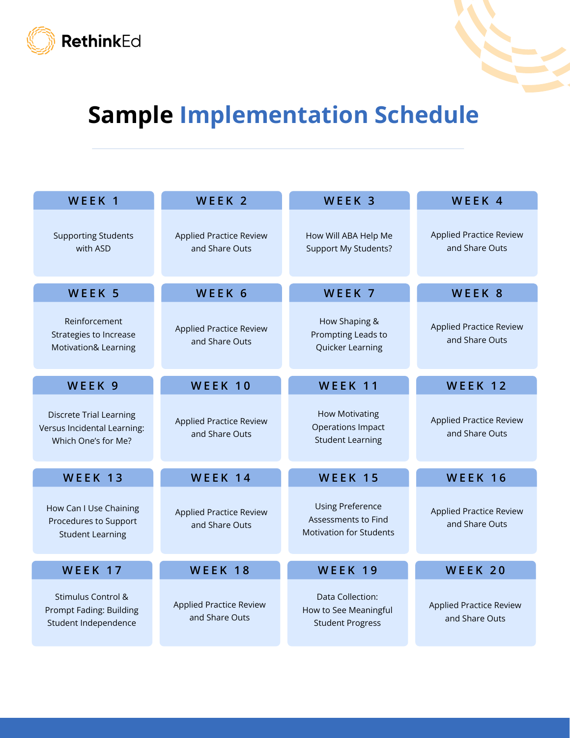



# Sample Implementation Schedule

| WEEK <sub>1</sub>                                                                    | WEEK <sub>2</sub>                                | WEEK <sub>3</sub>                                                                | WEEK <sub>4</sub>                                |
|--------------------------------------------------------------------------------------|--------------------------------------------------|----------------------------------------------------------------------------------|--------------------------------------------------|
| <b>Supporting Students</b><br>with ASD                                               | <b>Applied Practice Review</b><br>and Share Outs | How Will ABA Help Me<br><b>Support My Students?</b>                              | <b>Applied Practice Review</b><br>and Share Outs |
| WEEK 5                                                                               | WEEK 6                                           | WEEK 7                                                                           | WEEK 8                                           |
| Reinforcement<br><b>Strategies to Increase</b><br><b>Motivation&amp; Learning</b>    | <b>Applied Practice Review</b><br>and Share Outs | How Shaping &<br>Prompting Leads to<br>Quicker Learning                          | <b>Applied Practice Review</b><br>and Share Outs |
| WEEK 9                                                                               | WEEK 10                                          | WEEK 11                                                                          | WEEK 12                                          |
| <b>Discrete Trial Learning</b><br>Versus Incidental Learning:<br>Which One's for Me? | <b>Applied Practice Review</b><br>and Share Outs | <b>How Motivating</b><br><b>Operations Impact</b><br><b>Student Learning</b>     | <b>Applied Practice Review</b><br>and Share Outs |
| WEEK 13                                                                              | WEEK 14                                          | WEEK 15                                                                          | WEEK 16                                          |
| How Can I Use Chaining<br>Procedures to Support<br><b>Student Learning</b>           | <b>Applied Practice Review</b><br>and Share Outs | <b>Using Preference</b><br>Assessments to Find<br><b>Motivation for Students</b> | <b>Applied Practice Review</b><br>and Share Outs |
| WEEK 17                                                                              | WEEK 18                                          | WEEK 19                                                                          | WEEK 20                                          |
| Stimulus Control &<br>Prompt Fading: Building<br>Student Independence                | <b>Applied Practice Review</b><br>and Share Outs | Data Collection:<br>How to See Meaningful<br><b>Student Progress</b>             | <b>Applied Practice Review</b><br>and Share Outs |